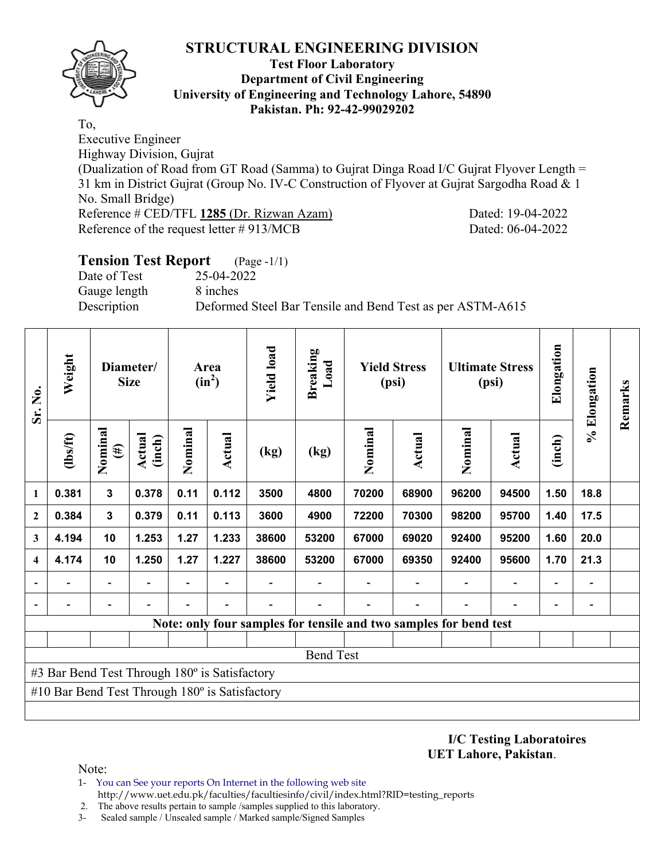

#### **Test Floor Laboratory Department of Civil Engineering University of Engineering and Technology Lahore, 54890 Pakistan. Ph: 92-42-99029202**

To, Executive Engineer Highway Division, Gujrat (Dualization of Road from GT Road (Samma) to Gujrat Dinga Road I/C Gujrat Flyover Length = 31 km in District Gujrat (Group No. IV-C Construction of Flyover at Gujrat Sargodha Road & 1 No. Small Bridge) Reference # CED/TFL **1285** (Dr. Rizwan Azam) Dated: 19-04-2022 Reference of the request letter # 913/MCB Dated: 06-04-2022

# **Tension Test Report** (Page -1/1)

Date of Test 25-04-2022 Gauge length 8 inches

Description Deformed Steel Bar Tensile and Bend Test as per ASTM-A615

| Sr. No.      | Weight                                                | Diameter/<br><b>Size</b> |                          | Area<br>$(in^2)$ |                          | <b>Yield load</b> | <b>Breaking</b><br>Load                                           | <b>Yield Stress</b><br>(psi) |               | <b>Ultimate Stress</b><br>(psi) |                | Elongation               | % Elongation                 | Remarks |
|--------------|-------------------------------------------------------|--------------------------|--------------------------|------------------|--------------------------|-------------------|-------------------------------------------------------------------|------------------------------|---------------|---------------------------------|----------------|--------------------------|------------------------------|---------|
|              | (1bs/ft)                                              | Nominal<br>$(\#)$        | Actual<br>(inch)         | Nominal          | <b>Actual</b>            | (kg)              | (kg)                                                              | Nominal                      | <b>Actual</b> | Nominal                         | <b>Actual</b>  | (inch)                   |                              |         |
| 1            | 0.381                                                 | $\mathbf{3}$             | 0.378                    | 0.11             | 0.112                    | 3500              | 4800                                                              | 70200                        | 68900         | 96200                           | 94500          | 1.50                     | 18.8                         |         |
| $\mathbf{2}$ | 0.384                                                 | $\mathbf{3}$             | 0.379                    | 0.11             | 0.113                    | 3600              | 4900                                                              | 72200                        | 70300         | 98200                           | 95700          | 1.40                     | 17.5                         |         |
| 3            | 4.194                                                 | 10                       | 1.253                    | 1.27             | 1.233                    | 38600             | 53200                                                             | 67000                        | 69020         | 92400                           | 95200          | 1.60                     | 20.0                         |         |
| 4            | 4.174                                                 | 10                       | 1.250                    | 1.27             | 1.227                    | 38600             | 53200                                                             | 67000                        | 69350         | 92400                           | 95600          | 1.70                     | 21.3                         |         |
|              | $\blacksquare$                                        | $\overline{\phantom{0}}$ |                          | $\overline{a}$   |                          |                   |                                                                   |                              |               |                                 | $\blacksquare$ | $\overline{\phantom{0}}$ | $\qquad \qquad \blacksquare$ |         |
|              |                                                       | $\overline{\phantom{a}}$ | $\overline{\phantom{a}}$ |                  | $\overline{\phantom{a}}$ |                   |                                                                   |                              |               |                                 |                | $\overline{\phantom{0}}$ |                              |         |
|              |                                                       |                          |                          |                  |                          |                   | Note: only four samples for tensile and two samples for bend test |                              |               |                                 |                |                          |                              |         |
|              |                                                       |                          |                          |                  |                          |                   |                                                                   |                              |               |                                 |                |                          |                              |         |
|              |                                                       |                          |                          |                  |                          |                   | <b>Bend Test</b>                                                  |                              |               |                                 |                |                          |                              |         |
|              | #3 Bar Bend Test Through 180° is Satisfactory         |                          |                          |                  |                          |                   |                                                                   |                              |               |                                 |                |                          |                              |         |
|              | #10 Bar Bend Test Through $180^\circ$ is Satisfactory |                          |                          |                  |                          |                   |                                                                   |                              |               |                                 |                |                          |                              |         |
|              |                                                       |                          |                          |                  |                          |                   |                                                                   |                              |               |                                 |                |                          |                              |         |

**I/C Testing Laboratoires UET Lahore, Pakistan**.

Note:

- 1- You can See your reports On Internet in the following web site http://www.uet.edu.pk/faculties/facultiesinfo/civil/index.html?RID=testing\_reports
- 2. The above results pertain to sample /samples supplied to this laboratory.
- 3- Sealed sample / Unsealed sample / Marked sample/Signed Samples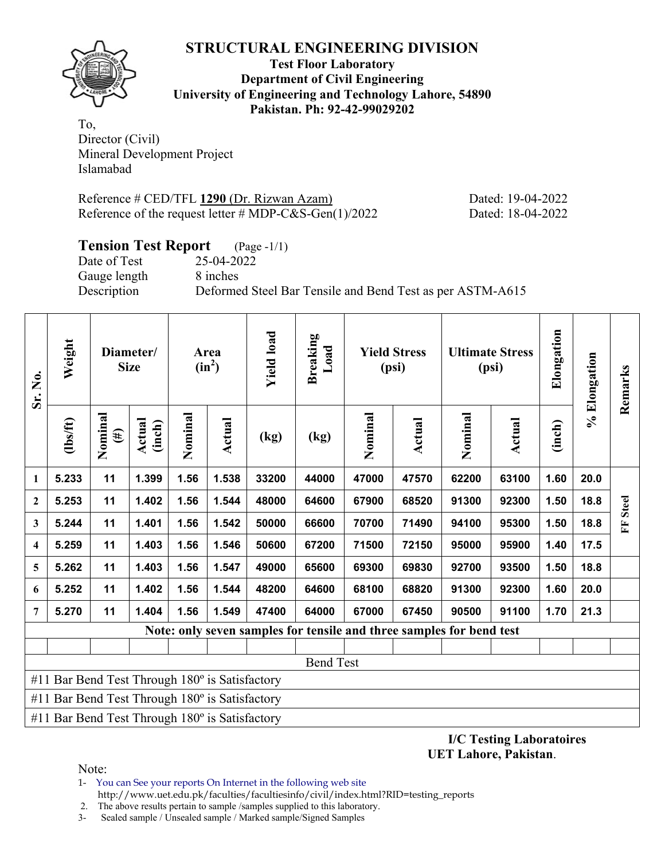**Test Floor Laboratory Department of Civil Engineering University of Engineering and Technology Lahore, 54890 Pakistan. Ph: 92-42-99029202** 

To, Director (Civil) Mineral Development Project Islamabad

Reference # CED/TFL 1290 (Dr. Rizwan Azam) Dated: 19-04-2022 Reference of the request letter # MDP-C&S-Gen(1)/2022 Dated: 18-04-2022

## **Tension Test Report** (Page -1/1)

Date of Test 25-04-2022 Gauge length 8 inches

Description Deformed Steel Bar Tensile and Bend Test as per ASTM-A615

| Sr. No.          | Weight                                                | Diameter/<br><b>Size</b> |                  | Area<br>$(in^2)$ |        | <b>Yield load</b> | <b>Breaking</b><br>Load                                              | <b>Yield Stress</b><br>(psi) |        |         | <b>Ultimate Stress</b><br>(psi) | Elongation | % Elongation | Remarks      |
|------------------|-------------------------------------------------------|--------------------------|------------------|------------------|--------|-------------------|----------------------------------------------------------------------|------------------------------|--------|---------|---------------------------------|------------|--------------|--------------|
|                  | $\frac{2}{10}$                                        | Nominal<br>$(\#)$        | Actual<br>(inch) | Nominal          | Actual | (kg)              | (kg)                                                                 | Nominal                      | Actual | Nominal | Actual                          | (inch)     |              |              |
| $\mathbf{1}$     | 5.233                                                 | 11                       | 1.399            | 1.56             | 1.538  | 33200             | 44000                                                                | 47000                        | 47570  | 62200   | 63100                           | 1.60       | 20.0         |              |
| $\boldsymbol{2}$ | 5.253                                                 | 11                       | 1.402            | 1.56             | 1.544  | 48000             | 64600                                                                | 67900                        | 68520  | 91300   | 92300                           | 1.50       | 18.8         | <b>Steel</b> |
| $\mathbf{3}$     | 5.244                                                 | 11                       | 1.401            | 1.56             | 1.542  | 50000             | 66600                                                                | 70700                        | 71490  | 94100   | 95300                           | 1.50       | 18.8         | E            |
| 4                | 5.259                                                 | 11                       | 1.403            | 1.56             | 1.546  | 50600             | 67200                                                                | 71500                        | 72150  | 95000   | 95900                           | 1.40       | 17.5         |              |
| 5                | 5.262                                                 | 11                       | 1.403            | 1.56             | 1.547  | 49000             | 65600                                                                | 69300                        | 69830  | 92700   | 93500                           | 1.50       | 18.8         |              |
| 6                | 5.252                                                 | 11                       | 1.402            | 1.56             | 1.544  | 48200             | 64600                                                                | 68100                        | 68820  | 91300   | 92300                           | 1.60       | 20.0         |              |
| $\overline{7}$   | 5.270                                                 | 11                       | 1.404            | 1.56             | 1.549  | 47400             | 64000                                                                | 67000                        | 67450  | 90500   | 91100                           | 1.70       | 21.3         |              |
|                  |                                                       |                          |                  |                  |        |                   | Note: only seven samples for tensile and three samples for bend test |                              |        |         |                                 |            |              |              |
|                  |                                                       |                          |                  |                  |        |                   |                                                                      |                              |        |         |                                 |            |              |              |
|                  |                                                       |                          |                  |                  |        |                   | <b>Bend Test</b>                                                     |                              |        |         |                                 |            |              |              |
|                  | #11 Bar Bend Test Through $180^\circ$ is Satisfactory |                          |                  |                  |        |                   |                                                                      |                              |        |         |                                 |            |              |              |
|                  | #11 Bar Bend Test Through $180^\circ$ is Satisfactory |                          |                  |                  |        |                   |                                                                      |                              |        |         |                                 |            |              |              |
|                  | #11 Bar Bend Test Through $180^\circ$ is Satisfactory |                          |                  |                  |        |                   |                                                                      |                              |        |         |                                 |            |              |              |

**I/C Testing Laboratoires UET Lahore, Pakistan**.

Note:

- 1- You can See your reports On Internet in the following web site http://www.uet.edu.pk/faculties/facultiesinfo/civil/index.html?RID=testing\_reports
- 2. The above results pertain to sample /samples supplied to this laboratory.
- 3- Sealed sample / Unsealed sample / Marked sample/Signed Samples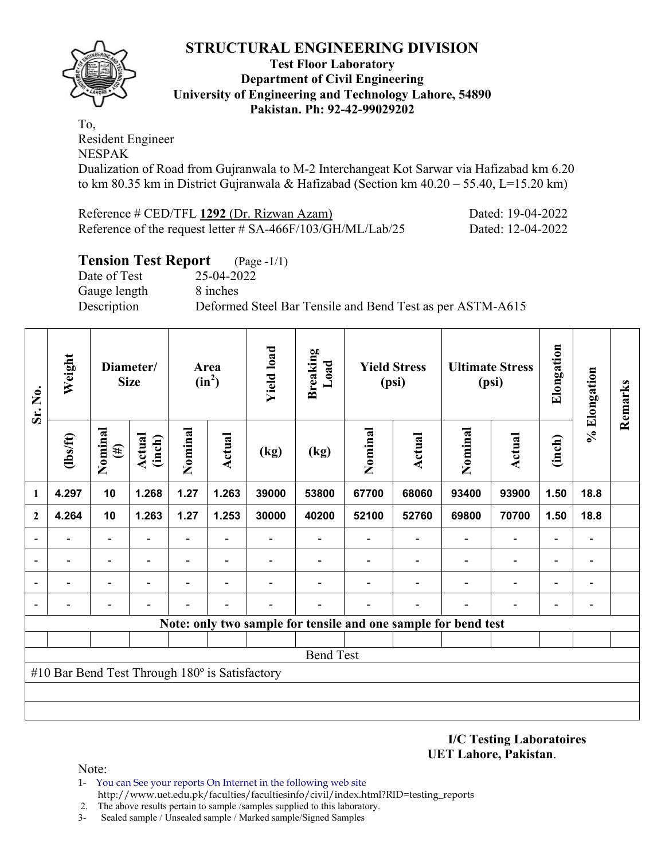

### **Test Floor Laboratory Department of Civil Engineering University of Engineering and Technology Lahore, 54890 Pakistan. Ph: 92-42-99029202**

To, Resident Engineer NESPAK

Dualization of Road from Gujranwala to M-2 Interchangeat Kot Sarwar via Hafizabad km 6.20 to km 80.35 km in District Gujranwala & Hafizabad (Section km 40.20 – 55.40, L=15.20 km)

| Reference # CED/TFL 1292 (Dr. Rizwan Azam)                 | Dated: 19-04-2022 |
|------------------------------------------------------------|-------------------|
| Reference of the request letter # SA-466F/103/GH/ML/Lab/25 | Dated: 12-04-2022 |

## **Tension Test Report** (Page -1/1)

Date of Test 25-04-2022 Gauge length 8 inches

Description Deformed Steel Bar Tensile and Bend Test as per ASTM-A615

| Sr. No.        | Weight                                         | Diameter/<br><b>Size</b> |                         |                          |                          | <b>Yield load</b><br>Area<br>$(in^2)$ |                  | <b>Breaking</b><br>Load | <b>Yield Stress</b><br>(psi)                                   |         | <b>Ultimate Stress</b><br>(psi) |                          | Elongation                   | % Elongation | Remarks |
|----------------|------------------------------------------------|--------------------------|-------------------------|--------------------------|--------------------------|---------------------------------------|------------------|-------------------------|----------------------------------------------------------------|---------|---------------------------------|--------------------------|------------------------------|--------------|---------|
|                | $\frac{2}{10}$                                 | Nominal<br>$(\#)$        | <b>Actual</b><br>(inch) | Nominal                  | Actual                   | (kg)                                  | (kg)             | Nominal                 | <b>Actual</b>                                                  | Nominal | <b>Actual</b>                   | (inch)                   |                              |              |         |
| $\mathbf{1}$   | 4.297                                          | 10                       | 1.268                   | 1.27                     | 1.263                    | 39000                                 | 53800            | 67700                   | 68060                                                          | 93400   | 93900                           | 1.50                     | 18.8                         |              |         |
| $\mathbf{2}$   | 4.264                                          | 10                       | 1.263                   | 1.27                     | 1.253                    | 30000                                 | 40200            | 52100                   | 52760                                                          | 69800   | 70700                           | 1.50                     | 18.8                         |              |         |
| $\blacksquare$ |                                                | $\overline{\phantom{0}}$ |                         | Ξ.                       |                          |                                       |                  |                         |                                                                |         | $\overline{\phantom{0}}$        | $\overline{\phantom{0}}$ | $\qquad \qquad \blacksquare$ |              |         |
|                |                                                | $\overline{\phantom{0}}$ |                         | $\overline{\phantom{0}}$ | $\overline{\phantom{0}}$ |                                       |                  |                         |                                                                |         | $\overline{\phantom{a}}$        | $\overline{\phantom{0}}$ | $\qquad \qquad$              |              |         |
|                |                                                |                          |                         |                          |                          |                                       |                  |                         |                                                                |         |                                 |                          |                              |              |         |
|                |                                                |                          |                         |                          |                          |                                       |                  |                         |                                                                |         |                                 |                          | $\qquad \qquad$              |              |         |
|                |                                                |                          |                         |                          |                          |                                       |                  |                         | Note: only two sample for tensile and one sample for bend test |         |                                 |                          |                              |              |         |
|                |                                                |                          |                         |                          |                          |                                       |                  |                         |                                                                |         |                                 |                          |                              |              |         |
|                |                                                |                          |                         |                          |                          |                                       | <b>Bend Test</b> |                         |                                                                |         |                                 |                          |                              |              |         |
|                | #10 Bar Bend Test Through 180° is Satisfactory |                          |                         |                          |                          |                                       |                  |                         |                                                                |         |                                 |                          |                              |              |         |
|                |                                                |                          |                         |                          |                          |                                       |                  |                         |                                                                |         |                                 |                          |                              |              |         |
|                |                                                |                          |                         |                          |                          |                                       |                  |                         |                                                                |         |                                 |                          |                              |              |         |

**I/C Testing Laboratoires UET Lahore, Pakistan**.

Note:

1- You can See your reports On Internet in the following web site http://www.uet.edu.pk/faculties/facultiesinfo/civil/index.html?RID=testing\_reports

2. The above results pertain to sample /samples supplied to this laboratory.

3- Sealed sample / Unsealed sample / Marked sample/Signed Samples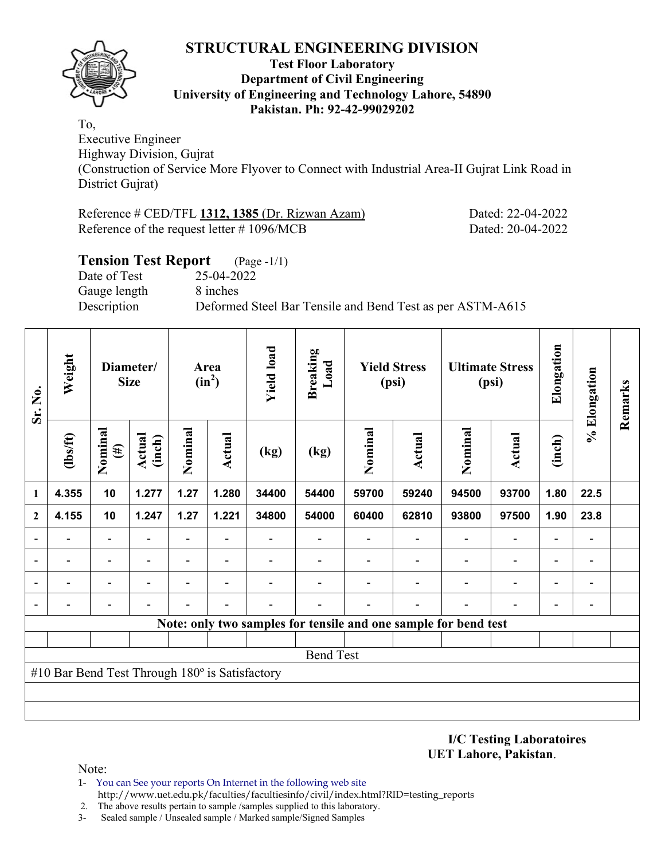

#### **Test Floor Laboratory Department of Civil Engineering University of Engineering and Technology Lahore, 54890 Pakistan. Ph: 92-42-99029202**

To,

Executive Engineer Highway Division, Gujrat (Construction of Service More Flyover to Connect with Industrial Area-II Gujrat Link Road in District Gujrat)

| Reference # CED/TFL 1312, 1385 (Dr. Rizwan Azam) |  |  |  |
|--------------------------------------------------|--|--|--|
| Reference of the request letter $\#$ 1096/MCB    |  |  |  |

Dated: 22-04-2022 Dated: 20-04-2022

| <b>Tension Test Report</b> (Page -1/1) |                                                           |
|----------------------------------------|-----------------------------------------------------------|
| Date of Test                           | 25-04-2022                                                |
| Gauge length                           | 8 inches                                                  |
| Description                            | Deformed Steel Bar Tensile and Bend Test as per ASTM-A615 |

| Sr. No.      | Weight                                         | Diameter/<br><b>Size</b> |                         | Area<br>$(in^2)$         |                          | <b>Yield load</b> | <b>Breaking</b><br>Load                                         | <b>Yield Stress</b><br>(psi) |        | <b>Ultimate Stress</b><br>(psi) |                          | Elongation               | % Elongation | Remarks |
|--------------|------------------------------------------------|--------------------------|-------------------------|--------------------------|--------------------------|-------------------|-----------------------------------------------------------------|------------------------------|--------|---------------------------------|--------------------------|--------------------------|--------------|---------|
|              | (1bs/ft)                                       | Nominal<br>$(\#)$        | <b>Actual</b><br>(inch) | Nominal                  | Actual                   | (kg)              | (kg)                                                            | Nominal                      | Actual | Nominal                         | <b>Actual</b>            | (inch)                   |              |         |
| 1            | 4.355                                          | 10                       | 1.277                   | 1.27                     | 1.280                    | 34400             | 54400                                                           | 59700                        | 59240  | 94500                           | 93700                    | 1.80                     | 22.5         |         |
| $\mathbf{2}$ | 4.155                                          | 10                       | 1.247                   | 1.27                     | 1.221                    | 34800             | 54000                                                           | 60400                        | 62810  | 93800                           | 97500                    | 1.90                     | 23.8         |         |
|              |                                                |                          |                         | $\overline{\phantom{0}}$ |                          |                   |                                                                 |                              |        | $\overline{\phantom{0}}$        | $\overline{a}$           | -                        |              |         |
|              |                                                |                          |                         | $\overline{\phantom{0}}$ |                          |                   |                                                                 |                              |        |                                 | $\overline{\phantom{0}}$ | $\overline{\phantom{0}}$ |              |         |
|              |                                                |                          |                         | $\blacksquare$           | $\overline{\phantom{0}}$ |                   |                                                                 |                              |        |                                 | $\overline{\phantom{0}}$ | $\overline{\phantom{0}}$ |              |         |
|              |                                                |                          |                         |                          |                          |                   |                                                                 |                              |        |                                 |                          |                          |              |         |
|              |                                                |                          |                         |                          |                          |                   | Note: only two samples for tensile and one sample for bend test |                              |        |                                 |                          |                          |              |         |
|              |                                                |                          |                         |                          |                          |                   |                                                                 |                              |        |                                 |                          |                          |              |         |
|              |                                                |                          |                         |                          |                          |                   | <b>Bend Test</b>                                                |                              |        |                                 |                          |                          |              |         |
|              | #10 Bar Bend Test Through 180° is Satisfactory |                          |                         |                          |                          |                   |                                                                 |                              |        |                                 |                          |                          |              |         |
|              |                                                |                          |                         |                          |                          |                   |                                                                 |                              |        |                                 |                          |                          |              |         |
|              |                                                |                          |                         |                          |                          |                   |                                                                 |                              |        |                                 |                          |                          |              |         |

**I/C Testing Laboratoires UET Lahore, Pakistan**.

Note:

1- You can See your reports On Internet in the following web site http://www.uet.edu.pk/faculties/facultiesinfo/civil/index.html?RID=testing\_reports

2. The above results pertain to sample /samples supplied to this laboratory.

3- Sealed sample / Unsealed sample / Marked sample/Signed Samples